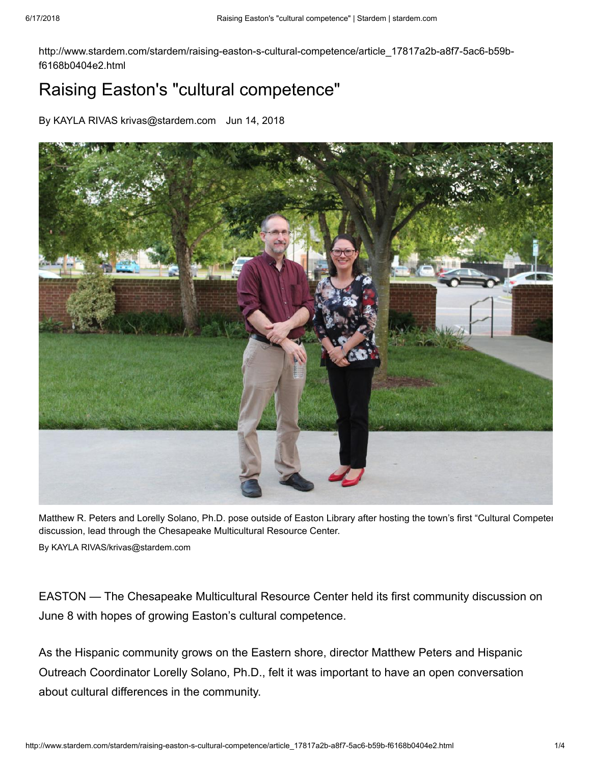http://www.stardem.com/stardem/raising-easton-s-cultural-competence/article\_17817a2b-a8f7-5ac6-b59bf6168b0404e2.html

## Raising Easton's "cultural competence"

By KAYLA RIVAS krivas@stardem.com Jun 14, 2018



Matthew R. Peters and Lorelly Solano, Ph.D. pose outside of Easton Library after hosting the town's first "Cultural Competen discussion, lead through the Chesapeake Multicultural Resource Center. By KAYLA RIVAS/krivas@stardem.com

EASTON — The Chesapeake Multicultural Resource Center held its first community discussion on June 8 with hopes of growing Easton's cultural competence.

As the Hispanic community grows on the Eastern shore, director Matthew Peters and Hispanic Outreach Coordinator Lorelly Solano, Ph.D., felt it was important to have an open conversation about cultural differences in the community.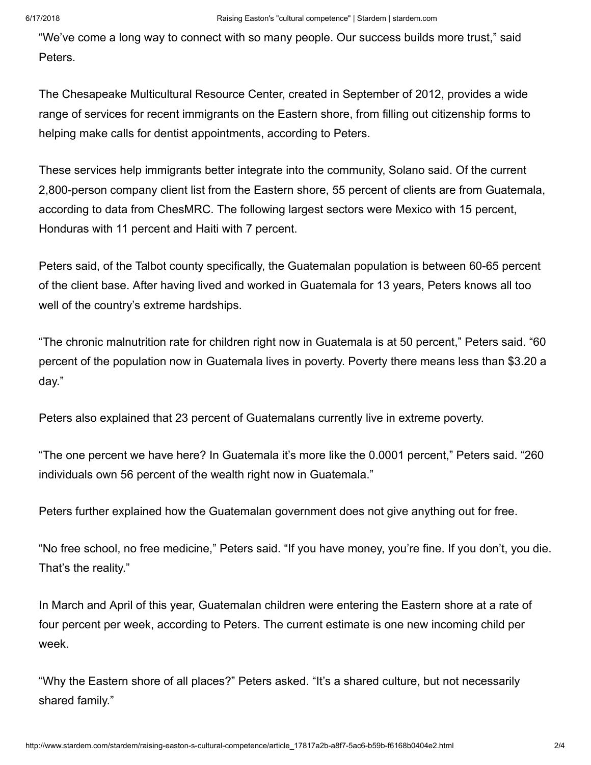"We've come a long way to connect with so many people. Our success builds more trust," said Peters.

The Chesapeake Multicultural Resource Center, created in September of 2012, provides a wide range of services for recent immigrants on the Eastern shore, from filling out citizenship forms to helping make calls for dentist appointments, according to Peters.

These services help immigrants better integrate into the community, Solano said. Of the current 2,800-person company client list from the Eastern shore, 55 percent of clients are from Guatemala, according to data from ChesMRC. The following largest sectors were Mexico with 15 percent, Honduras with 11 percent and Haiti with 7 percent.

Peters said, of the Talbot county specifically, the Guatemalan population is between 60-65 percent of the client base. After having lived and worked in Guatemala for 13 years, Peters knows all too well of the country's extreme hardships.

"The chronic malnutrition rate for children right now in Guatemala is at 50 percent," Peters said. "60 percent of the population now in Guatemala lives in poverty. Poverty there means less than \$3.20 a day."

Peters also explained that 23 percent of Guatemalans currently live in extreme poverty.

"The one percent we have here? In Guatemala it's more like the 0.0001 percent," Peters said. "260 individuals own 56 percent of the wealth right now in Guatemala."

Peters further explained how the Guatemalan government does not give anything out for free.

"No free school, no free medicine," Peters said. "If you have money, you're fine. If you don't, you die. That's the reality."

In March and April of this year, Guatemalan children were entering the Eastern shore at a rate of four percent per week, according to Peters. The current estimate is one new incoming child per week.

"Why the Eastern shore of all places?" Peters asked. "It's a shared culture, but not necessarily shared family."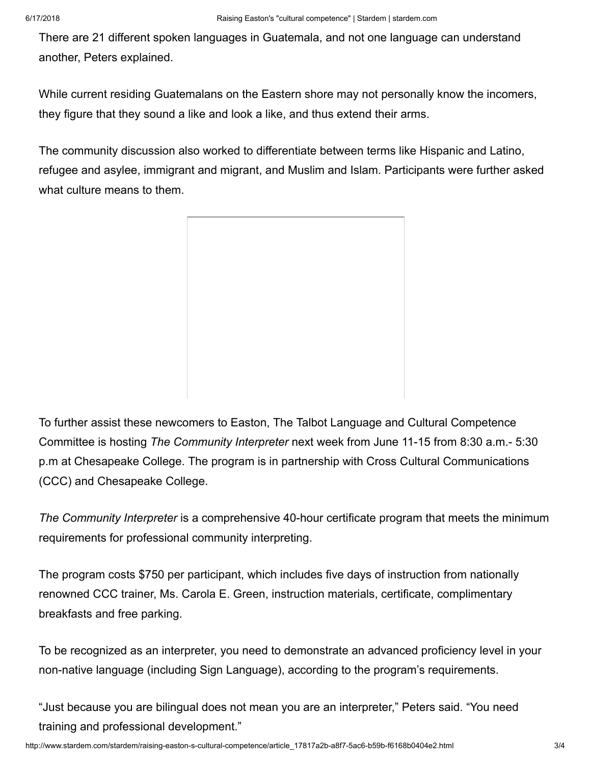There are 21 different spoken languages in Guatemala, and not one language can understand another, Peters explained.

While current residing Guatemalans on the Eastern shore may not personally know the incomers, they figure that they sound a like and look a like, and thus extend their arms.

The community discussion also worked to differentiate between terms like Hispanic and Latino, refugee and asylee, immigrant and migrant, and Muslim and Islam. Participants were further asked what culture means to them.

To further assist these newcomers to Easton, The Talbot Language and Cultural Competence Committee is hosting *The Community Interpreter* next week from June 11-15 from 8:30 a.m.- 5:30 p.m at Chesapeake College. The program is in partnership with Cross Cultural Communications (CCC) and Chesapeake College.

*The Community Interpreter* is a comprehensive 40-hour certificate program that meets the minimum requirements for professional community interpreting.

The program costs \$750 per participant, which includes five days of instruction from nationally renowned CCC trainer, Ms. Carola E. Green, instruction materials, certificate, complimentary breakfasts and free parking.

To be recognized as an interpreter, you need to demonstrate an advanced proficiency level in your non-native language (including Sign Language), according to the program's requirements.

"Just because you are bilingual does not mean you are an interpreter," Peters said. "You need training and professional development."